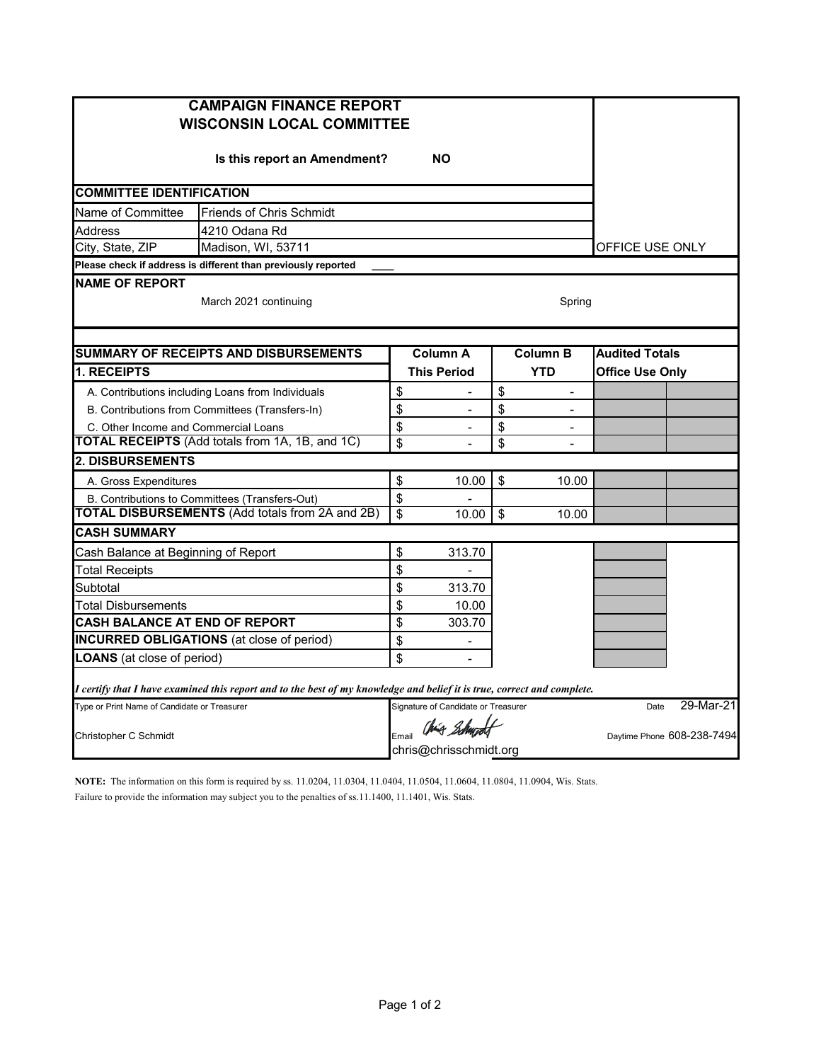| <b>CAMPAIGN FINANCE REPORT</b><br><b>WISCONSIN LOCAL COMMITTEE</b>                                                      |                         |                                        |            |                            |                        |  |  |  |
|-------------------------------------------------------------------------------------------------------------------------|-------------------------|----------------------------------------|------------|----------------------------|------------------------|--|--|--|
| Is this report an Amendment?                                                                                            |                         |                                        |            |                            |                        |  |  |  |
| <b>COMMITTEE IDENTIFICATION</b>                                                                                         |                         |                                        |            |                            |                        |  |  |  |
| Name of Committee<br><b>Friends of Chris Schmidt</b>                                                                    |                         |                                        |            |                            |                        |  |  |  |
| <b>Address</b><br>4210 Odana Rd                                                                                         |                         |                                        |            |                            |                        |  |  |  |
| City, State, ZIP<br>Madison, WI, 53711                                                                                  |                         | OFFICE USE ONLY                        |            |                            |                        |  |  |  |
| Please check if address is different than previously reported                                                           |                         |                                        |            |                            |                        |  |  |  |
| <b>NAME OF REPORT</b><br>March 2021 continuing<br>Spring                                                                |                         |                                        |            |                            |                        |  |  |  |
| <b>SUMMARY OF RECEIPTS AND DISBURSEMENTS</b>                                                                            |                         | <b>Column A</b>                        |            | <b>Column B</b>            | <b>Audited Totals</b>  |  |  |  |
| <b>1. RECEIPTS</b>                                                                                                      |                         | <b>This Period</b>                     | <b>YTD</b> |                            | <b>Office Use Only</b> |  |  |  |
| A. Contributions including Loans from Individuals                                                                       | \$                      |                                        | \$         | $\overline{a}$             |                        |  |  |  |
| B. Contributions from Committees (Transfers-In)                                                                         | \$                      | $\overline{a}$                         | \$         |                            |                        |  |  |  |
| C. Other Income and Commercial Loans                                                                                    | \$                      |                                        | \$         |                            |                        |  |  |  |
| <b>TOTAL RECEIPTS</b> (Add totals from 1A, 1B, and 1C)                                                                  | $\overline{\mathbf{s}}$ | $\overline{a}$                         | \$         | $\overline{a}$             |                        |  |  |  |
| <b>2. DISBURSEMENTS</b>                                                                                                 |                         |                                        |            |                            |                        |  |  |  |
| A. Gross Expenditures                                                                                                   | \$                      | 10.00                                  | \$         | 10.00                      |                        |  |  |  |
| B. Contributions to Committees (Transfers-Out)                                                                          | \$                      |                                        |            |                            |                        |  |  |  |
| <b>TOTAL DISBURSEMENTS (Add totals from 2A and 2B)</b>                                                                  | $\overline{\mathbf{s}}$ | 10.00                                  | \$         | 10.00                      |                        |  |  |  |
| <b>CASH SUMMARY</b>                                                                                                     |                         |                                        |            |                            |                        |  |  |  |
| Cash Balance at Beginning of Report                                                                                     | \$                      | 313.70                                 |            |                            |                        |  |  |  |
| Total Receipts                                                                                                          | \$                      |                                        |            |                            |                        |  |  |  |
| Subtotal                                                                                                                | \$                      | 313.70                                 |            |                            |                        |  |  |  |
| Total Disbursements                                                                                                     | \$                      | 10.00                                  |            |                            |                        |  |  |  |
| <b>CASH BALANCE AT END OF REPORT</b>                                                                                    | \$                      | 303.70                                 |            |                            |                        |  |  |  |
| <b>INCURRED OBLIGATIONS</b> (at close of period)                                                                        | \$                      |                                        |            |                            |                        |  |  |  |
| <b>LOANS</b> (at close of period)                                                                                       | \$                      |                                        |            |                            |                        |  |  |  |
| I certify that I have examined this report and to the best of my knowledge and belief it is true, correct and complete. |                         |                                        |            |                            |                        |  |  |  |
| Type or Print Name of Candidate or Treasurer                                                                            |                         | Signature of Candidate or Treasurer    |            | Date                       | 29-Mar-21              |  |  |  |
| Christopher C Schmidt                                                                                                   | Email                   | Chis Schwadt<br>chris@chrisschmidt.org |            | Daytime Phone 608-238-7494 |                        |  |  |  |

**NOTE:** The information on this form is required by ss. 11.0204, 11.0304, 11.0404, 11.0504, 11.0604, 11.0804, 11.0904, Wis. Stats. Failure to provide the information may subject you to the penalties of ss.11.1400, 11.1401, Wis. Stats.